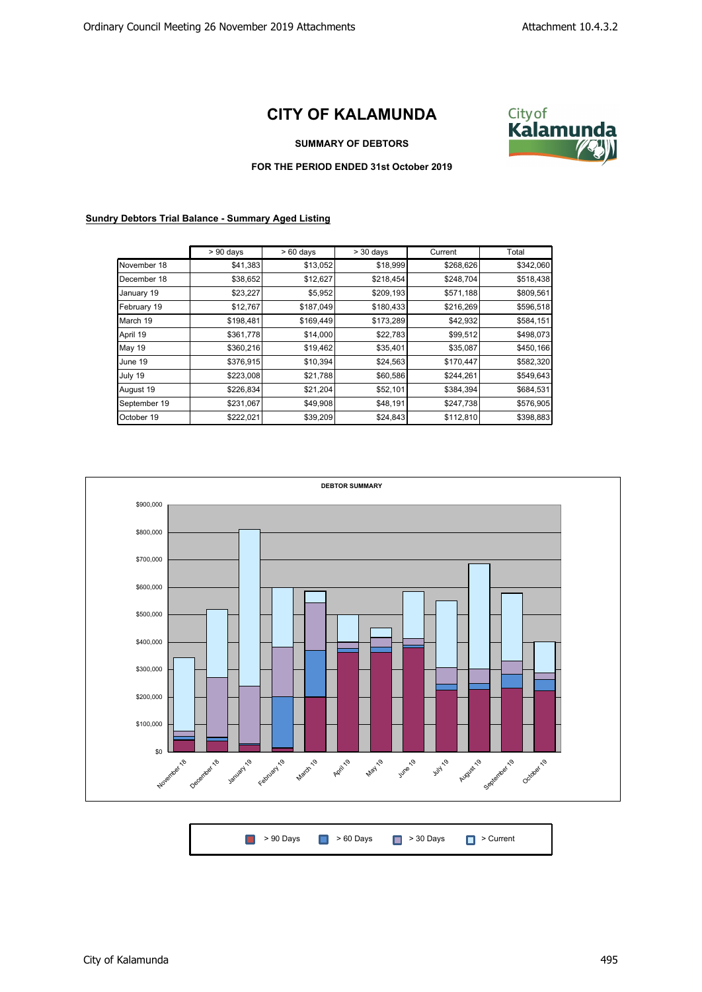## **CITY OF KALAMUNDA**



**SUMMARY OF DEBTORS**

## **FOR THE PERIOD ENDED 31st October 2019**

## **Sundry Debtors Trial Balance - Summary Aged Listing**

|              | $> 90$ days | $>60$ days | $>$ 30 days | Current   | Total     |
|--------------|-------------|------------|-------------|-----------|-----------|
| November 18  | \$41,383    | \$13,052   | \$18,999    | \$268,626 | \$342,060 |
| December 18  | \$38,652    | \$12,627   | \$218,454   | \$248,704 | \$518,438 |
| January 19   | \$23,227    | \$5,952    | \$209,193   | \$571,188 | \$809,561 |
| February 19  | \$12,767    | \$187,049  | \$180,433   | \$216,269 | \$596,518 |
| March 19     | \$198,481   | \$169,449  | \$173,289   | \$42,932  | \$584,151 |
| April 19     | \$361,778   | \$14,000   | \$22,783    | \$99,512  | \$498,073 |
| May 19       | \$360,216   | \$19,462   | \$35,401    | \$35,087  | \$450,166 |
| June 19      | \$376,915   | \$10,394   | \$24,563    | \$170,447 | \$582,320 |
| July 19      | \$223,008   | \$21,788   | \$60,586    | \$244,261 | \$549,643 |
| August 19    | \$226,834   | \$21,204   | \$52,101    | \$384,394 | \$684,531 |
| September 19 | \$231,067   | \$49,908   | \$48,191    | \$247,738 | \$576,905 |
| October 19   | \$222,021   | \$39,209   | \$24,843    | \$112,810 | \$398,883 |